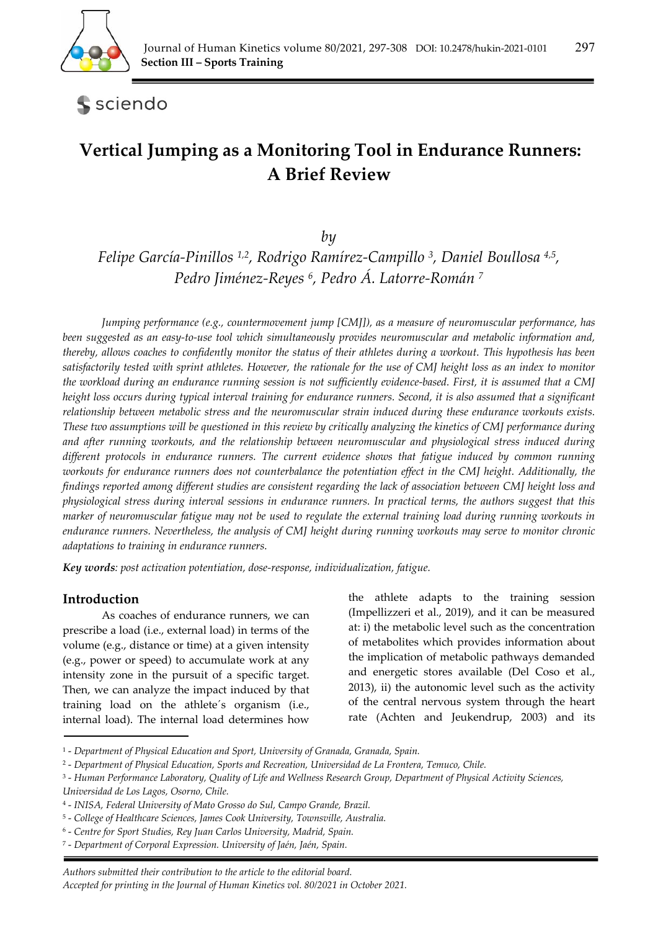

sciendo

# **Vertical Jumping as a Monitoring Tool in Endurance Runners: A Brief Review**

*by* 

*Felipe García-Pinillos 1,2, Rodrigo Ramírez-Campillo 3, Daniel Boullosa 4,5, Pedro Jiménez-Reyes 6, Pedro Á. Latorre-Román 7*

*Jumping performance (e.g., countermovement jump [CMJ]), as a measure of neuromuscular performance, has been suggested as an easy-to-use tool which simultaneously provides neuromuscular and metabolic information and, thereby, allows coaches to confidently monitor the status of their athletes during a workout. This hypothesis has been satisfactorily tested with sprint athletes. However, the rationale for the use of CMJ height loss as an index to monitor the workload during an endurance running session is not sufficiently evidence-based. First, it is assumed that a CMJ height loss occurs during typical interval training for endurance runners. Second, it is also assumed that a significant relationship between metabolic stress and the neuromuscular strain induced during these endurance workouts exists. These two assumptions will be questioned in this review by critically analyzing the kinetics of CMJ performance during and after running workouts, and the relationship between neuromuscular and physiological stress induced during different protocols in endurance runners. The current evidence shows that fatigue induced by common running workouts for endurance runners does not counterbalance the potentiation effect in the CMJ height. Additionally, the findings reported among different studies are consistent regarding the lack of association between CMJ height loss and physiological stress during interval sessions in endurance runners. In practical terms, the authors suggest that this marker of neuromuscular fatigue may not be used to regulate the external training load during running workouts in endurance runners. Nevertheless, the analysis of CMJ height during running workouts may serve to monitor chronic adaptations to training in endurance runners.* 

*Key words: post activation potentiation, dose-response, individualization, fatigue.* 

# **Introduction**

As coaches of endurance runners, we can prescribe a load (i.e., external load) in terms of the volume (e.g., distance or time) at a given intensity (e.g., power or speed) to accumulate work at any intensity zone in the pursuit of a specific target. Then, we can analyze the impact induced by that training load on the athlete´s organism (i.e., internal load). The internal load determines how

the athlete adapts to the training session (Impellizzeri et al., 2019), and it can be measured at: i) the metabolic level such as the concentration of metabolites which provides information about the implication of metabolic pathways demanded and energetic stores available (Del Coso et al., 2013), ii) the autonomic level such as the activity of the central nervous system through the heart rate (Achten and Jeukendrup, 2003) and its

3 - *Human Performance Laboratory, Quality of Life and Wellness Research Group, Department of Physical Activity Sciences,* 

6 - *Centre for Sport Studies, Rey Juan Carlos University, Madrid, Spain.* 

<sup>1 -</sup> *Department of Physical Education and Sport, University of Granada, Granada, Spain.* 

<sup>2 -</sup> *Department of Physical Education, Sports and Recreation, Universidad de La Frontera, Temuco, Chile.* 

*Universidad de Los Lagos, Osorno, Chile.* 

<sup>4 -</sup> *INISA, Federal University of Mato Grosso do Sul, Campo Grande, Brazil.* 

<sup>5 -</sup> *College of Healthcare Sciences, James Cook University, Townsville, Australia.* 

<sup>7 -</sup> *Department of Corporal Expression. University of Jaén, Jaén, Spain.*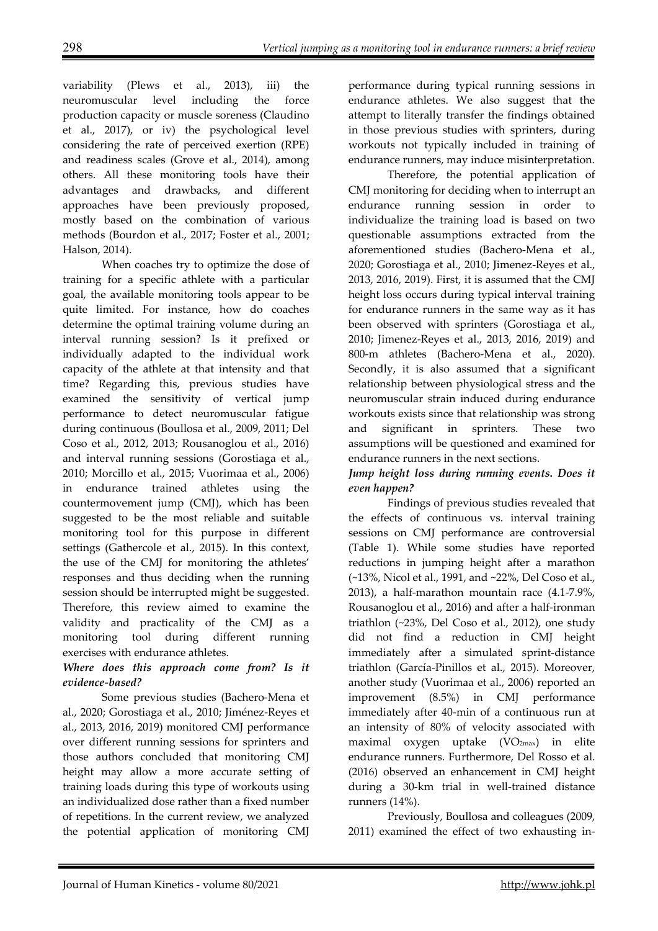variability (Plews et al., 2013), iii) the neuromuscular level including the force production capacity or muscle soreness (Claudino et al., 2017), or iv) the psychological level considering the rate of perceived exertion (RPE) and readiness scales (Grove et al., 2014), among others. All these monitoring tools have their advantages and drawbacks, and different approaches have been previously proposed, mostly based on the combination of various methods (Bourdon et al., 2017; Foster et al., 2001; Halson, 2014).

When coaches try to optimize the dose of training for a specific athlete with a particular goal, the available monitoring tools appear to be quite limited. For instance, how do coaches determine the optimal training volume during an interval running session? Is it prefixed or individually adapted to the individual work capacity of the athlete at that intensity and that time? Regarding this, previous studies have examined the sensitivity of vertical jump performance to detect neuromuscular fatigue during continuous (Boullosa et al., 2009, 2011; Del Coso et al., 2012, 2013; Rousanoglou et al., 2016) and interval running sessions (Gorostiaga et al., 2010; Morcillo et al., 2015; Vuorimaa et al., 2006) in endurance trained athletes using the countermovement jump (CMJ), which has been suggested to be the most reliable and suitable monitoring tool for this purpose in different settings (Gathercole et al., 2015). In this context, the use of the CMJ for monitoring the athletes' responses and thus deciding when the running session should be interrupted might be suggested. Therefore, this review aimed to examine the validity and practicality of the CMJ as a monitoring tool during different running exercises with endurance athletes.

#### *Where does this approach come from? Is it evidence-based?*

Some previous studies (Bachero-Mena et al., 2020; Gorostiaga et al., 2010; Jiménez-Reyes et al., 2013, 2016, 2019) monitored CMJ performance over different running sessions for sprinters and those authors concluded that monitoring CMJ height may allow a more accurate setting of training loads during this type of workouts using an individualized dose rather than a fixed number of repetitions. In the current review, we analyzed the potential application of monitoring CMJ

performance during typical running sessions in endurance athletes. We also suggest that the attempt to literally transfer the findings obtained in those previous studies with sprinters, during workouts not typically included in training of endurance runners, may induce misinterpretation.

Therefore, the potential application of CMJ monitoring for deciding when to interrupt an endurance running session in order to individualize the training load is based on two questionable assumptions extracted from the aforementioned studies (Bachero-Mena et al., 2020; Gorostiaga et al., 2010; Jimenez-Reyes et al., 2013, 2016, 2019). First, it is assumed that the CMJ height loss occurs during typical interval training for endurance runners in the same way as it has been observed with sprinters (Gorostiaga et al., 2010; Jimenez-Reyes et al., 2013, 2016, 2019) and 800-m athletes (Bachero-Mena et al., 2020). Secondly, it is also assumed that a significant relationship between physiological stress and the neuromuscular strain induced during endurance workouts exists since that relationship was strong and significant in sprinters. These two assumptions will be questioned and examined for endurance runners in the next sections.

#### *Jump height loss during running events. Does it even happen?*

Findings of previous studies revealed that the effects of continuous vs. interval training sessions on CMJ performance are controversial (Table 1). While some studies have reported reductions in jumping height after a marathon (~13%, Nicol et al., 1991, and ~22%, Del Coso et al., 2013), a half-marathon mountain race (4.1-7.9%, Rousanoglou et al., 2016) and after a half-ironman triathlon (~23%, Del Coso et al., 2012), one study did not find a reduction in CMJ height immediately after a simulated sprint-distance triathlon (García-Pinillos et al., 2015). Moreover, another study (Vuorimaa et al., 2006) reported an improvement (8.5%) in CMJ performance immediately after 40-min of a continuous run at an intensity of 80% of velocity associated with maximal oxygen uptake (VO<sub>2max</sub>) in elite endurance runners. Furthermore, Del Rosso et al. (2016) observed an enhancement in CMJ height during a 30-km trial in well-trained distance runners (14%).

Previously, Boullosa and colleagues (2009, 2011) examined the effect of two exhausting in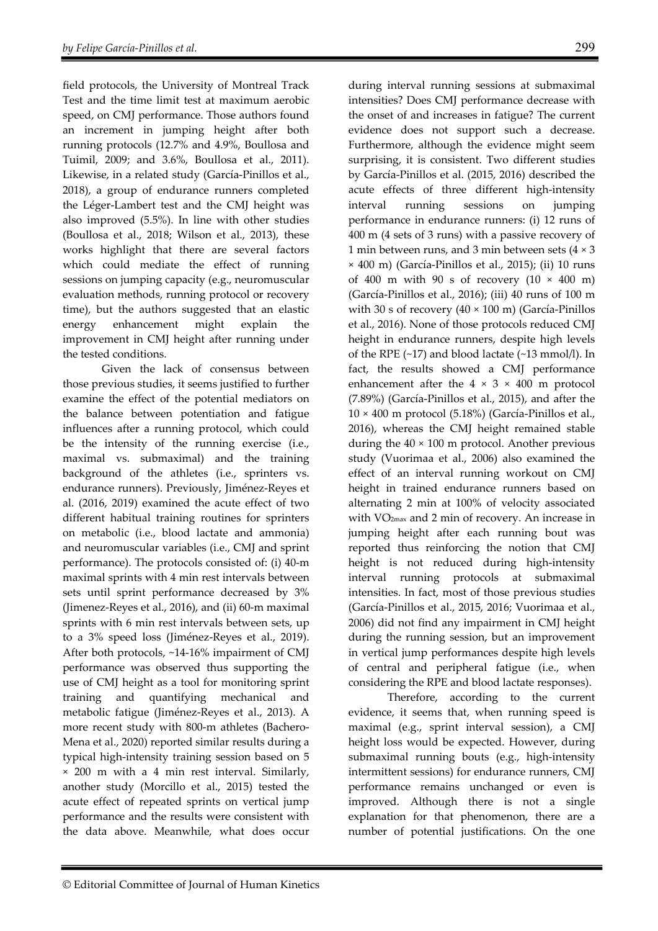field protocols, the University of Montreal Track Test and the time limit test at maximum aerobic speed, on CMJ performance. Those authors found an increment in jumping height after both running protocols (12.7% and 4.9%, Boullosa and Tuimil, 2009; and 3.6%, Boullosa et al., 2011). Likewise, in a related study (García-Pinillos et al., 2018), a group of endurance runners completed the Léger-Lambert test and the CMJ height was also improved (5.5%). In line with other studies (Boullosa et al., 2018; Wilson et al., 2013), these works highlight that there are several factors which could mediate the effect of running sessions on jumping capacity (e.g., neuromuscular evaluation methods, running protocol or recovery time), but the authors suggested that an elastic energy enhancement might explain the improvement in CMJ height after running under the tested conditions.

Given the lack of consensus between those previous studies, it seems justified to further examine the effect of the potential mediators on the balance between potentiation and fatigue influences after a running protocol, which could be the intensity of the running exercise (i.e., maximal vs. submaximal) and the training background of the athletes (i.e., sprinters vs. endurance runners). Previously, Jiménez-Reyes et al. (2016, 2019) examined the acute effect of two different habitual training routines for sprinters on metabolic (i.e., blood lactate and ammonia) and neuromuscular variables (i.e., CMJ and sprint performance). The protocols consisted of: (i) 40-m maximal sprints with 4 min rest intervals between sets until sprint performance decreased by 3% (Jimenez-Reyes et al., 2016), and (ii) 60-m maximal sprints with 6 min rest intervals between sets, up to a 3% speed loss (Jiménez-Reyes et al., 2019). After both protocols, ~14-16% impairment of CMJ performance was observed thus supporting the use of CMJ height as a tool for monitoring sprint training and quantifying mechanical and metabolic fatigue (Jiménez-Reyes et al., 2013). A more recent study with 800-m athletes (Bachero-Mena et al., 2020) reported similar results during a typical high-intensity training session based on 5 × 200 m with a 4 min rest interval. Similarly, another study (Morcillo et al., 2015) tested the acute effect of repeated sprints on vertical jump performance and the results were consistent with the data above. Meanwhile, what does occur

during interval running sessions at submaximal intensities? Does CMJ performance decrease with the onset of and increases in fatigue? The current evidence does not support such a decrease. Furthermore, although the evidence might seem surprising, it is consistent. Two different studies by García-Pinillos et al. (2015, 2016) described the acute effects of three different high-intensity interval running sessions on jumping performance in endurance runners: (i) 12 runs of 400 m (4 sets of 3 runs) with a passive recovery of 1 min between runs, and 3 min between sets (4 × 3 × 400 m) (García-Pinillos et al., 2015); (ii) 10 runs of 400 m with 90 s of recovery  $(10 \times 400 \text{ m})$ (García-Pinillos et al., 2016); (iii) 40 runs of 100 m with 30 s of recovery  $(40 \times 100 \text{ m})$  (García-Pinillos et al., 2016). None of those protocols reduced CMJ height in endurance runners, despite high levels of the RPE (~17) and blood lactate (~13 mmol/l). In fact, the results showed a CMJ performance enhancement after the  $4 \times 3 \times 400$  m protocol (7.89%) (García-Pinillos et al., 2015), and after the 10 × 400 m protocol (5.18%) (García-Pinillos et al., 2016), whereas the CMJ height remained stable during the  $40 \times 100$  m protocol. Another previous study (Vuorimaa et al., 2006) also examined the effect of an interval running workout on CMJ height in trained endurance runners based on alternating 2 min at 100% of velocity associated with VO2max and 2 min of recovery. An increase in jumping height after each running bout was reported thus reinforcing the notion that CMJ height is not reduced during high-intensity interval running protocols at submaximal intensities. In fact, most of those previous studies (García-Pinillos et al., 2015, 2016; Vuorimaa et al., 2006) did not find any impairment in CMJ height during the running session, but an improvement in vertical jump performances despite high levels of central and peripheral fatigue (i.e., when considering the RPE and blood lactate responses).

Therefore, according to the current evidence, it seems that, when running speed is maximal (e.g., sprint interval session), a CMJ height loss would be expected. However, during submaximal running bouts (e.g., high-intensity intermittent sessions) for endurance runners, CMJ performance remains unchanged or even is improved. Although there is not a single explanation for that phenomenon, there are a number of potential justifications. On the one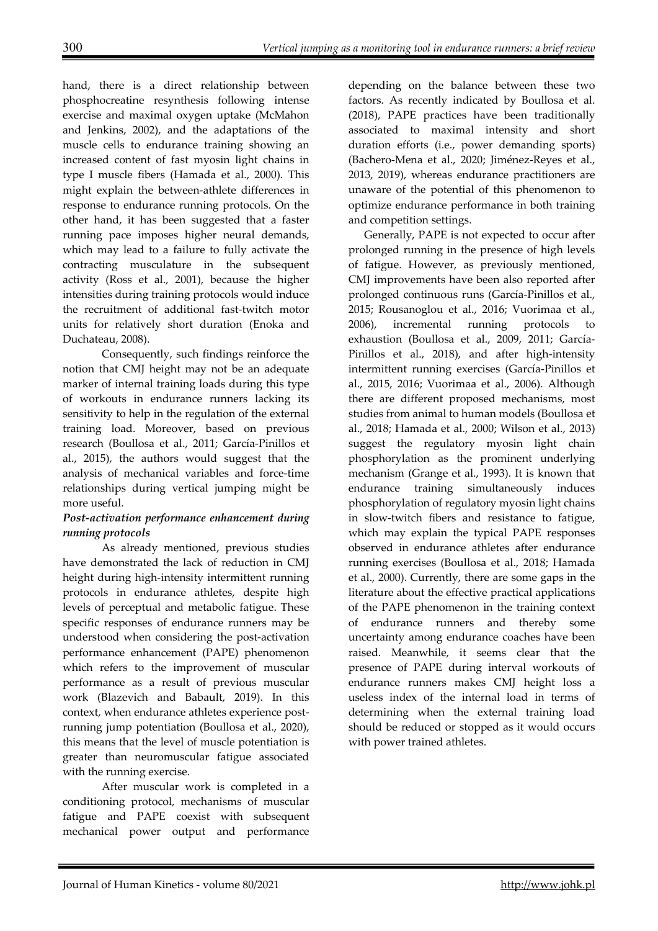hand, there is a direct relationship between phosphocreatine resynthesis following intense exercise and maximal oxygen uptake (McMahon and Jenkins, 2002), and the adaptations of the muscle cells to endurance training showing an increased content of fast myosin light chains in type I muscle fibers (Hamada et al., 2000). This might explain the between-athlete differences in response to endurance running protocols. On the other hand, it has been suggested that a faster running pace imposes higher neural demands, which may lead to a failure to fully activate the contracting musculature in the subsequent activity (Ross et al., 2001), because the higher intensities during training protocols would induce the recruitment of additional fast-twitch motor units for relatively short duration (Enoka and Duchateau, 2008).

Consequently, such findings reinforce the notion that CMJ height may not be an adequate marker of internal training loads during this type of workouts in endurance runners lacking its sensitivity to help in the regulation of the external training load. Moreover, based on previous research (Boullosa et al., 2011; García-Pinillos et al., 2015), the authors would suggest that the analysis of mechanical variables and force-time relationships during vertical jumping might be more useful.

### *Post-activation performance enhancement during running protocols*

As already mentioned, previous studies have demonstrated the lack of reduction in CMJ height during high-intensity intermittent running protocols in endurance athletes, despite high levels of perceptual and metabolic fatigue. These specific responses of endurance runners may be understood when considering the post-activation performance enhancement (PAPE) phenomenon which refers to the improvement of muscular performance as a result of previous muscular work (Blazevich and Babault, 2019). In this context, when endurance athletes experience postrunning jump potentiation (Boullosa et al., 2020), this means that the level of muscle potentiation is greater than neuromuscular fatigue associated with the running exercise.

After muscular work is completed in a conditioning protocol, mechanisms of muscular fatigue and PAPE coexist with subsequent mechanical power output and performance depending on the balance between these two factors. As recently indicated by Boullosa et al. (2018), PAPE practices have been traditionally associated to maximal intensity and short duration efforts (i.e., power demanding sports) (Bachero-Mena et al., 2020; Jiménez-Reyes et al., 2013, 2019), whereas endurance practitioners are unaware of the potential of this phenomenon to optimize endurance performance in both training and competition settings.

Generally, PAPE is not expected to occur after prolonged running in the presence of high levels of fatigue. However, as previously mentioned, CMJ improvements have been also reported after prolonged continuous runs (García-Pinillos et al., 2015; Rousanoglou et al., 2016; Vuorimaa et al., 2006), incremental running protocols to exhaustion (Boullosa et al., 2009, 2011; García-Pinillos et al., 2018), and after high-intensity intermittent running exercises (García-Pinillos et al., 2015, 2016; Vuorimaa et al., 2006). Although there are different proposed mechanisms, most studies from animal to human models (Boullosa et al., 2018; Hamada et al., 2000; Wilson et al., 2013) suggest the regulatory myosin light chain phosphorylation as the prominent underlying mechanism (Grange et al., 1993). It is known that endurance training simultaneously induces phosphorylation of regulatory myosin light chains in slow-twitch fibers and resistance to fatigue, which may explain the typical PAPE responses observed in endurance athletes after endurance running exercises (Boullosa et al., 2018; Hamada et al., 2000). Currently, there are some gaps in the literature about the effective practical applications of the PAPE phenomenon in the training context of endurance runners and thereby some uncertainty among endurance coaches have been raised. Meanwhile, it seems clear that the presence of PAPE during interval workouts of endurance runners makes CMJ height loss a useless index of the internal load in terms of determining when the external training load should be reduced or stopped as it would occurs with power trained athletes.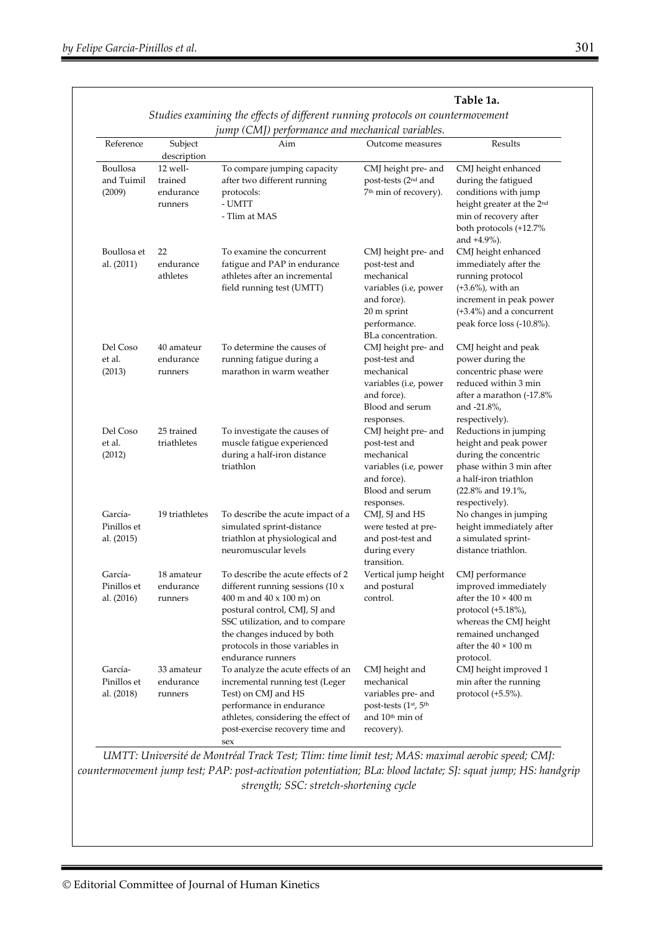|                                                                                                                                     |                                             |                                                                                                                                                                                                                                                                        |                                                                                                                                                 | Table 1a.                                                                                                                                                                                |  |
|-------------------------------------------------------------------------------------------------------------------------------------|---------------------------------------------|------------------------------------------------------------------------------------------------------------------------------------------------------------------------------------------------------------------------------------------------------------------------|-------------------------------------------------------------------------------------------------------------------------------------------------|------------------------------------------------------------------------------------------------------------------------------------------------------------------------------------------|--|
| Studies examining the effects of different running protocols on countermovement<br>jump (CMJ) performance and mechanical variables. |                                             |                                                                                                                                                                                                                                                                        |                                                                                                                                                 |                                                                                                                                                                                          |  |
| Reference                                                                                                                           | Subject<br>description                      | Aim                                                                                                                                                                                                                                                                    | Outcome measures                                                                                                                                | Results                                                                                                                                                                                  |  |
| Boullosa<br>and Tuimil<br>(2009)                                                                                                    | 12 well-<br>trained<br>endurance<br>runners | To compare jumping capacity<br>after two different running<br>protocols:<br>- UMTT<br>- Tlim at MAS                                                                                                                                                                    | CMJ height pre- and<br>post-tests (2 <sup>nd</sup> and<br>7 <sup>th</sup> min of recovery).                                                     | CMJ height enhanced<br>during the fatigued<br>conditions with jump<br>height greater at the 2 <sup>nd</sup><br>min of recovery after<br>both protocols (+12.7%<br>and +4.9%).            |  |
| Boullosa et<br>al. (2011)                                                                                                           | 22<br>endurance<br>athletes                 | To examine the concurrent<br>fatigue and PAP in endurance<br>athletes after an incremental<br>field running test (UMTT)                                                                                                                                                | CMJ height pre- and<br>post-test and<br>mechanical<br>variables (i.e, power<br>and force).<br>20 m sprint<br>performance.<br>BLa concentration. | CMJ height enhanced<br>immediately after the<br>running protocol<br>$(+3.6%)$ , with an<br>increment in peak power<br>$(+3.4%)$ and a concurrent<br>peak force loss (-10.8%).            |  |
| Del Coso<br>et al.<br>(2013)                                                                                                        | 40 amateur<br>endurance<br>runners          | To determine the causes of<br>running fatigue during a<br>marathon in warm weather                                                                                                                                                                                     | CMJ height pre- and<br>post-test and<br>mechanical<br>variables (i.e, power<br>and force).<br>Blood and serum                                   | CMJ height and peak<br>power during the<br>concentric phase were<br>reduced within 3 min<br>after a marathon (-17.8%<br>and $-21.8\%$ ,<br>respectively).                                |  |
| Del Coso<br>et al.<br>(2012)                                                                                                        | 25 trained<br>triathletes                   | To investigate the causes of<br>muscle fatigue experienced<br>during a half-iron distance<br>triathlon                                                                                                                                                                 | responses.<br>CMJ height pre- and<br>post-test and<br>mechanical<br>variables (i.e, power<br>and force).<br>Blood and serum<br>responses.       | Reductions in jumping<br>height and peak power<br>during the concentric<br>phase within 3 min after<br>a half-iron triathlon<br>(22.8% and 19.1%,<br>respectively).                      |  |
| García-<br>Pinillos et<br>al. (2015)                                                                                                | 19 triathletes                              | To describe the acute impact of a<br>simulated sprint-distance<br>triathlon at physiological and<br>neuromuscular levels                                                                                                                                               | CMJ, SJ and HS<br>were tested at pre-<br>and post-test and<br>during every<br>transition.                                                       | No changes in jumping<br>height immediately after<br>a simulated sprint-<br>distance triathlon.                                                                                          |  |
| García-<br>Pinillos et<br>al. (2016)                                                                                                | 18 amateur<br>endurance<br>runners          | To describe the acute effects of 2<br>different running sessions $(10 x$<br>400 m and $40 \times 100$ m) on<br>postural control, CMJ, SJ and<br>SSC utilization, and to compare<br>the changes induced by both<br>protocols in those variables in<br>endurance runners | Vertical jump height<br>and postural<br>control.                                                                                                | CMJ performance<br>improved immediately<br>after the $10 \times 400$ m<br>protocol (+5.18%),<br>whereas the CMJ height<br>remained unchanged<br>after the $40 \times 100$ m<br>protocol. |  |
| García-<br>Pinillos et<br>al. (2018)                                                                                                | 33 amateur<br>endurance<br>runners          | To analyze the acute effects of an<br>incremental running test (Leger<br>Test) on CMJ and HS<br>performance in endurance<br>athletes, considering the effect of<br>post-exercise recovery time and                                                                     | CMJ height and<br>mechanical<br>variables pre- and<br>post-tests (1st, 5th<br>and 10 <sup>th</sup> min of<br>recovery).                         | CMJ height improved 1<br>min after the running<br>protocol $(+5.5\%)$ .                                                                                                                  |  |

*UMTT: Université de Montréal Track Test; Tlim: time limit test; MAS: maximal aerobic speed; CMJ: countermovement jump test; PAP: post-activation potentiation; BLa: blood lactate; SJ: squat jump; HS: handgrip strength; SSC: stretch-shortening cycle* 

sex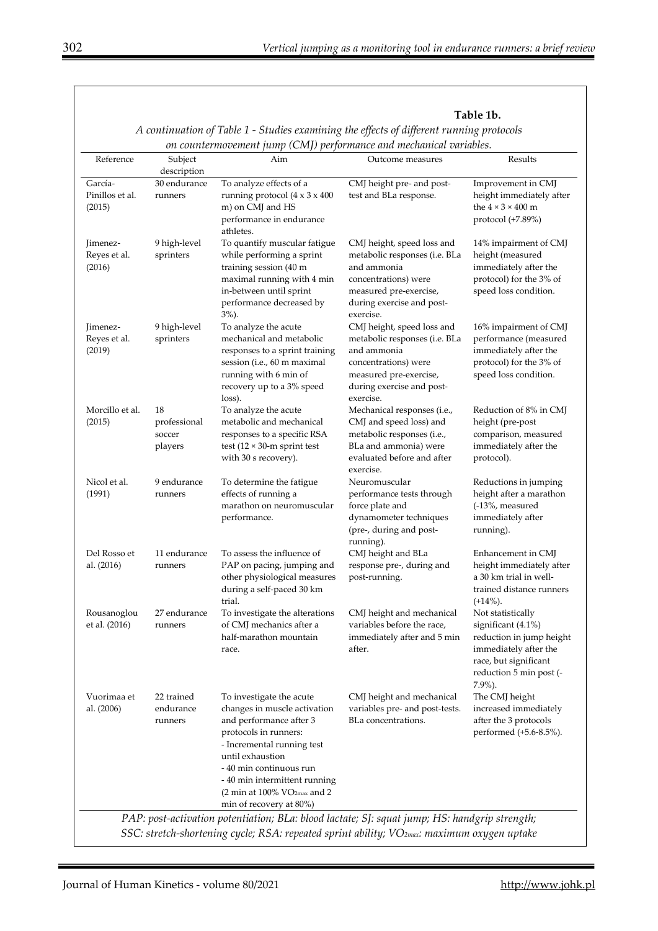| Table 1b. |  |
|-----------|--|
|-----------|--|

| Reference                            | Subject                                 | Aim                                                                                                                                                                                                                                                                                                                          | Outcome measures                                                                                                                                                       | Results                                                                                                                                                        |
|--------------------------------------|-----------------------------------------|------------------------------------------------------------------------------------------------------------------------------------------------------------------------------------------------------------------------------------------------------------------------------------------------------------------------------|------------------------------------------------------------------------------------------------------------------------------------------------------------------------|----------------------------------------------------------------------------------------------------------------------------------------------------------------|
|                                      | description                             |                                                                                                                                                                                                                                                                                                                              |                                                                                                                                                                        |                                                                                                                                                                |
| García-<br>Pinillos et al.<br>(2015) | 30 endurance<br>runners                 | To analyze effects of a<br>running protocol $(4 \times 3 \times 400)$<br>m) on CMJ and HS<br>performance in endurance                                                                                                                                                                                                        | CMJ height pre- and post-<br>test and BLa response.                                                                                                                    | Improvement in CMJ<br>height immediately after<br>the $4 \times 3 \times 400$ m<br>protocol (+7.89%)                                                           |
| Jimenez-<br>Reyes et al.<br>(2016)   | 9 high-level<br>sprinters               | athletes.<br>To quantify muscular fatigue<br>while performing a sprint<br>training session (40 m<br>maximal running with 4 min<br>in-between until sprint<br>performance decreased by<br>$3\%$ ).                                                                                                                            | CMJ height, speed loss and<br>metabolic responses (i.e. BLa<br>and ammonia<br>concentrations) were<br>measured pre-exercise,<br>during exercise and post-<br>exercise. | 14% impairment of CMJ<br>height (measured<br>immediately after the<br>protocol) for the 3% of<br>speed loss condition.                                         |
| Jimenez-<br>Reyes et al.<br>(2019)   | 9 high-level<br>sprinters               | To analyze the acute<br>mechanical and metabolic<br>responses to a sprint training<br>session (i.e., 60 m maximal<br>running with 6 min of<br>recovery up to a 3% speed<br>loss).                                                                                                                                            | CMJ height, speed loss and<br>metabolic responses (i.e. BLa<br>and ammonia<br>concentrations) were<br>measured pre-exercise,<br>during exercise and post-<br>exercise. | 16% impairment of CMJ<br>performance (measured<br>immediately after the<br>protocol) for the 3% of<br>speed loss condition.                                    |
| Morcillo et al.<br>(2015)            | 18<br>professional<br>soccer<br>players | To analyze the acute<br>metabolic and mechanical<br>responses to a specific RSA<br>test ( $12 \times 30$ -m sprint test<br>with 30 s recovery).                                                                                                                                                                              | Mechanical responses (i.e.,<br>CMJ and speed loss) and<br>metabolic responses (i.e.,<br>BLa and ammonia) were<br>evaluated before and after<br>exercise.               | Reduction of 8% in CMJ<br>height (pre-post<br>comparison, measured<br>immediately after the<br>protocol).                                                      |
| Nicol et al.<br>(1991)               | 9 endurance<br>runners                  | To determine the fatigue<br>effects of running a<br>marathon on neuromuscular<br>performance.                                                                                                                                                                                                                                | Neuromuscular<br>performance tests through<br>force plate and<br>dynamometer techniques<br>(pre-, during and post-<br>running).                                        | Reductions in jumping<br>height after a marathon<br>(-13%, measured<br>immediately after<br>running).                                                          |
| Del Rosso et<br>al. (2016)           | 11 endurance<br>runners                 | To assess the influence of<br>PAP on pacing, jumping and<br>other physiological measures<br>during a self-paced 30 km<br>trial.                                                                                                                                                                                              | CMJ height and BLa<br>response pre-, during and<br>post-running.                                                                                                       | Enhancement in CMJ<br>height immediately after<br>a 30 km trial in well-<br>trained distance runners<br>$(+14\%).$                                             |
| Rousanoglou<br>et al. (2016)         | 27 endurance<br>runners                 | To investigate the alterations<br>of CMJ mechanics after a<br>half-marathon mountain<br>race.                                                                                                                                                                                                                                | CMJ height and mechanical<br>variables before the race,<br>immediately after and 5 min<br>after.                                                                       | Not statistically<br>significant (4.1%)<br>reduction in jump height<br>immediately after the<br>race, but significant<br>reduction 5 min post (-<br>$7.9\%$ ). |
| Vuorimaa et<br>al. (2006)            | 22 trained<br>endurance<br>runners      | To investigate the acute<br>changes in muscle activation<br>and performance after 3<br>protocols in runners:<br>- Incremental running test<br>until exhaustion<br>- 40 min continuous run<br>- 40 min intermittent running<br>$(2 \text{ min at } 100\% \text{ VO}_{2\text{max}} \text{ and } 2)$<br>min of recovery at 80%) | CMJ height and mechanical<br>variables pre- and post-tests.<br>BLa concentrations.                                                                                     | The CMJ height<br>increased immediately<br>after the 3 protocols<br>performed (+5.6-8.5%).                                                                     |

*A continuation of Table 1 - Studies examining the effects of different running protocols*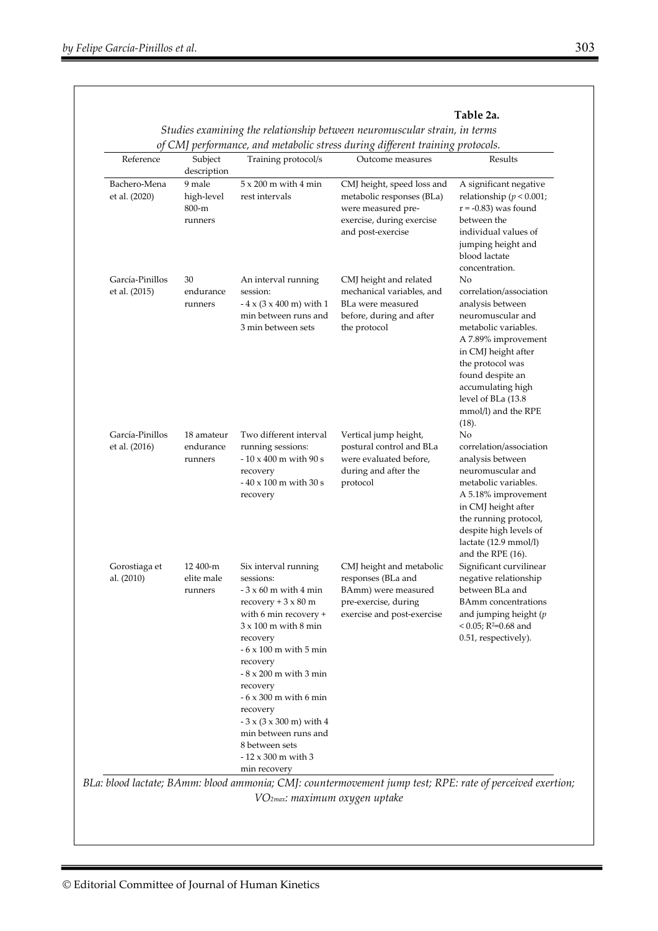| Reference                        | Subject<br>description                   | Training protocol/s                                                                                                                                                                                                                                                                                                                                                                                                                        | of CMJ performance, and metabolic stress during different training protocols.<br>Outcome measures                               | Results                                                                                                                                                                                                                                                          |
|----------------------------------|------------------------------------------|--------------------------------------------------------------------------------------------------------------------------------------------------------------------------------------------------------------------------------------------------------------------------------------------------------------------------------------------------------------------------------------------------------------------------------------------|---------------------------------------------------------------------------------------------------------------------------------|------------------------------------------------------------------------------------------------------------------------------------------------------------------------------------------------------------------------------------------------------------------|
| Bachero-Mena<br>et al. (2020)    | 9 male<br>high-level<br>800-m<br>runners | $5 \times 200$ m with 4 min<br>rest intervals                                                                                                                                                                                                                                                                                                                                                                                              | CMJ height, speed loss and<br>metabolic responses (BLa)<br>were measured pre-<br>exercise, during exercise<br>and post-exercise | A significant negative<br>relationship ( $p < 0.001$ ;<br>$r = -0.83$ ) was found<br>between the<br>individual values of<br>jumping height and<br>blood lactate<br>concentration.                                                                                |
| García-Pinillos<br>et al. (2015) | 30<br>endurance<br>runners               | An interval running<br>session:<br>$-4 \times (3 \times 400 \text{ m})$ with 1<br>min between runs and<br>3 min between sets                                                                                                                                                                                                                                                                                                               | CMJ height and related<br>mechanical variables, and<br>BLa were measured<br>before, during and after<br>the protocol            | No<br>correlation/association<br>analysis between<br>neuromuscular and<br>metabolic variables.<br>A 7.89% improvement<br>in CMJ height after<br>the protocol was<br>found despite an<br>accumulating high<br>level of BLa (13.8)<br>mmol/l) and the RPE<br>(18). |
| García-Pinillos<br>et al. (2016) | 18 amateur<br>endurance<br>runners       | Two different interval<br>running sessions:<br>$-10 \times 400$ m with 90 s<br>recovery<br>$-40 \times 100$ m with 30 s<br>recovery                                                                                                                                                                                                                                                                                                        | Vertical jump height,<br>postural control and BLa<br>were evaluated before,<br>during and after the<br>protocol                 | No<br>correlation/association<br>analysis between<br>neuromuscular and<br>metabolic variables.<br>A 5.18% improvement<br>in CMJ height after<br>the running protocol,<br>despite high levels of<br>lactate (12.9 mmol/l)<br>and the RPE (16).                    |
| Gorostiaga et<br>al. (2010)      | 12 400-m<br>elite male<br>runners        | Six interval running<br>sessions:<br>- $3\times60$ m with $4$ min<br>recovery + $3 \times 80$ m<br>with 6 min recovery +<br>$3 \times 100$ m with $8$ min<br>recovery<br>- $6 \times 100$ m with 5 min<br>recovery<br>$-8 \times 200$ m with 3 min<br>recovery<br>$-6 \times 300$ m with 6 min<br>recovery<br>$-3 \times (3 \times 300 \text{ m})$ with 4<br>min between runs and<br>8 between sets<br>- 12 x 300 m with 3<br>min recovery | CMJ height and metabolic<br>responses (BLa and<br>BAmm) were measured<br>pre-exercise, during<br>exercise and post-exercise     | Significant curvilinear<br>negative relationship<br>between BLa and<br><b>BAmm</b> concentrations<br>and jumping height $(p)$<br>< 0.05; R2=0.68 and<br>0.51, respectively).                                                                                     |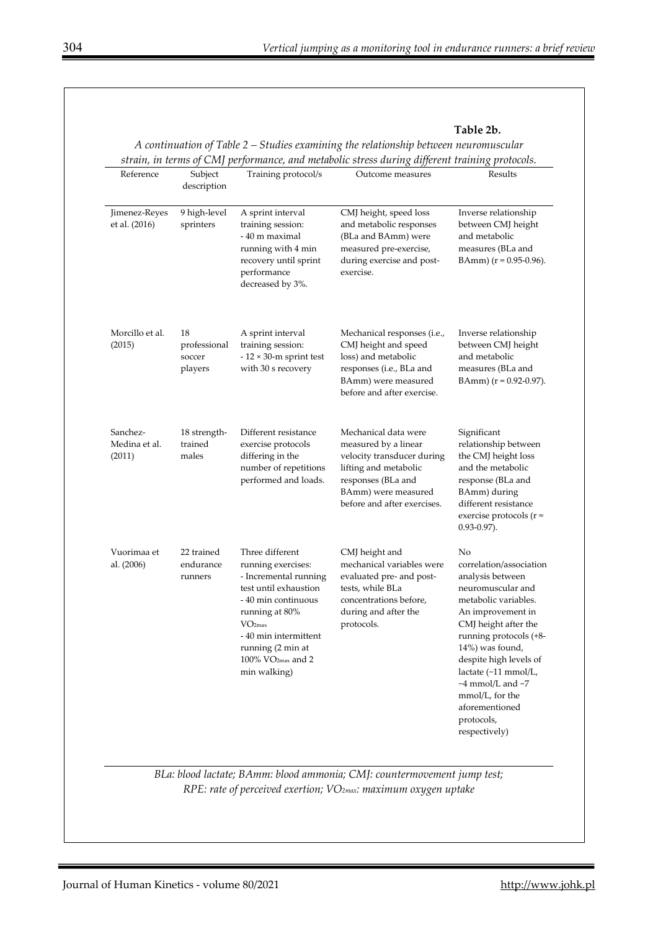| Table 2b. |  |
|-----------|--|
|-----------|--|

| Reference                           | Subject<br>description                  | Training protocol/s                                                                                                                                                                                                                                      | Outcome measures                                                                                                                                                                | Results                                                                                                                                                                                                                                                                                                                                          |
|-------------------------------------|-----------------------------------------|----------------------------------------------------------------------------------------------------------------------------------------------------------------------------------------------------------------------------------------------------------|---------------------------------------------------------------------------------------------------------------------------------------------------------------------------------|--------------------------------------------------------------------------------------------------------------------------------------------------------------------------------------------------------------------------------------------------------------------------------------------------------------------------------------------------|
| Jimenez-Reyes<br>et al. (2016)      | 9 high-level<br>sprinters               | A sprint interval<br>training session:<br>- 40 m maximal<br>running with 4 min<br>recovery until sprint<br>performance<br>decreased by 3%.                                                                                                               | CMJ height, speed loss<br>and metabolic responses<br>(BLa and BAmm) were<br>measured pre-exercise,<br>during exercise and post-<br>exercise.                                    | Inverse relationship<br>between CMJ height<br>and metabolic<br>measures (BLa and<br>BAmm) $(r = 0.95 - 0.96)$ .                                                                                                                                                                                                                                  |
| Morcillo et al.<br>(2015)           | 18<br>professional<br>soccer<br>players | A sprint interval<br>training session:<br>$-12 \times 30$ -m sprint test<br>with 30 s recovery                                                                                                                                                           | Mechanical responses (i.e.,<br>CMJ height and speed<br>loss) and metabolic<br>responses (i.e., BLa and<br>BAmm) were measured<br>before and after exercise.                     | Inverse relationship<br>between CMJ height<br>and metabolic<br>measures (BLa and<br>BAmm) $(r = 0.92 - 0.97)$ .                                                                                                                                                                                                                                  |
| Sanchez-<br>Medina et al.<br>(2011) | 18 strength-<br>trained<br>males        | Different resistance<br>exercise protocols<br>differing in the<br>number of repetitions<br>performed and loads.                                                                                                                                          | Mechanical data were<br>measured by a linear<br>velocity transducer during<br>lifting and metabolic<br>responses (BLa and<br>BAmm) were measured<br>before and after exercises. | Significant<br>relationship between<br>the CMJ height loss<br>and the metabolic<br>response (BLa and<br>BAmm) during<br>different resistance<br>exercise protocols ( $r =$<br>$0.93 - 0.97$ ).                                                                                                                                                   |
| Vuorimaa et<br>al. (2006)           | 22 trained<br>endurance<br>runners      | Three different<br>running exercises:<br>- Incremental running<br>test until exhaustion<br>- 40 min continuous<br>running at 80%<br>VO <sub>2max</sub><br>- 40 min intermittent<br>running (2 min at<br>$100\%$ VO <sub>2max</sub> and 2<br>min walking) | CMJ height and<br>mechanical variables were<br>evaluated pre- and post-<br>tests, while BLa<br>concentrations before,<br>during and after the<br>protocols.                     | No<br>correlation/association<br>analysis between<br>neuromuscular and<br>metabolic variables.<br>An improvement in<br>CMJ height after the<br>running protocols (+8-<br>14%) was found,<br>despite high levels of<br>lactate (~11 mmol/L,<br>$~\sim$ 4 mmol/L and $~\sim$ 7<br>mmol/L, for the<br>aforementioned<br>protocols,<br>respectively) |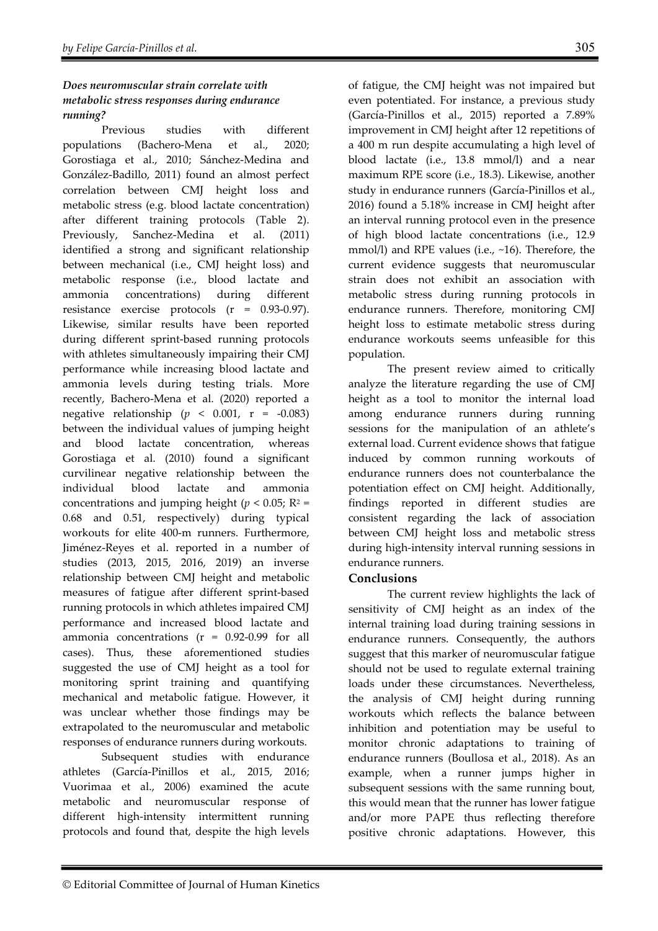## *Does neuromuscular strain correlate with metabolic stress responses during endurance running?*

Previous studies with different populations (Bachero-Mena et al., 2020; Gorostiaga et al., 2010; Sánchez-Medina and González-Badillo, 2011) found an almost perfect correlation between CMJ height loss and metabolic stress (e.g. blood lactate concentration) after different training protocols (Table 2). Previously, Sanchez-Medina et al. (2011) identified a strong and significant relationship between mechanical (i.e., CMJ height loss) and metabolic response (i.e., blood lactate and ammonia concentrations) during different resistance exercise protocols (r = 0.93-0.97). Likewise, similar results have been reported during different sprint-based running protocols with athletes simultaneously impairing their CMJ performance while increasing blood lactate and ammonia levels during testing trials. More recently, Bachero-Mena et al. (2020) reported a negative relationship ( $p < 0.001$ ,  $r = -0.083$ ) between the individual values of jumping height and blood lactate concentration, whereas Gorostiaga et al. (2010) found a significant curvilinear negative relationship between the individual blood lactate and ammonia concentrations and jumping height ( $p < 0.05$ ; R<sup>2</sup> = 0.68 and 0.51, respectively) during typical workouts for elite 400-m runners. Furthermore, Jiménez-Reyes et al. reported in a number of studies (2013, 2015, 2016, 2019) an inverse relationship between CMJ height and metabolic measures of fatigue after different sprint-based running protocols in which athletes impaired CMJ performance and increased blood lactate and ammonia concentrations (r = 0.92-0.99 for all cases). Thus, these aforementioned studies suggested the use of CMJ height as a tool for monitoring sprint training and quantifying mechanical and metabolic fatigue. However, it was unclear whether those findings may be extrapolated to the neuromuscular and metabolic responses of endurance runners during workouts.

Subsequent studies with endurance athletes (García-Pinillos et al., 2015, 2016; Vuorimaa et al., 2006) examined the acute metabolic and neuromuscular response of different high-intensity intermittent running protocols and found that, despite the high levels

of fatigue, the CMJ height was not impaired but even potentiated. For instance, a previous study (García-Pinillos et al., 2015) reported a 7.89% improvement in CMJ height after 12 repetitions of a 400 m run despite accumulating a high level of blood lactate (i.e., 13.8 mmol/l) and a near maximum RPE score (i.e., 18.3). Likewise, another study in endurance runners (García-Pinillos et al., 2016) found a 5.18% increase in CMJ height after an interval running protocol even in the presence of high blood lactate concentrations (i.e., 12.9 mmol/l) and RPE values (i.e., ~16). Therefore, the current evidence suggests that neuromuscular strain does not exhibit an association with metabolic stress during running protocols in endurance runners. Therefore, monitoring CMJ height loss to estimate metabolic stress during endurance workouts seems unfeasible for this population.

The present review aimed to critically analyze the literature regarding the use of CMJ height as a tool to monitor the internal load among endurance runners during running sessions for the manipulation of an athlete's external load. Current evidence shows that fatigue induced by common running workouts of endurance runners does not counterbalance the potentiation effect on CMJ height. Additionally, findings reported in different studies are consistent regarding the lack of association between CMJ height loss and metabolic stress during high-intensity interval running sessions in endurance runners.

## **Conclusions**

The current review highlights the lack of sensitivity of CMJ height as an index of the internal training load during training sessions in endurance runners. Consequently, the authors suggest that this marker of neuromuscular fatigue should not be used to regulate external training loads under these circumstances. Nevertheless, the analysis of CMJ height during running workouts which reflects the balance between inhibition and potentiation may be useful to monitor chronic adaptations to training of endurance runners (Boullosa et al., 2018). As an example, when a runner jumps higher in subsequent sessions with the same running bout, this would mean that the runner has lower fatigue and/or more PAPE thus reflecting therefore positive chronic adaptations. However, this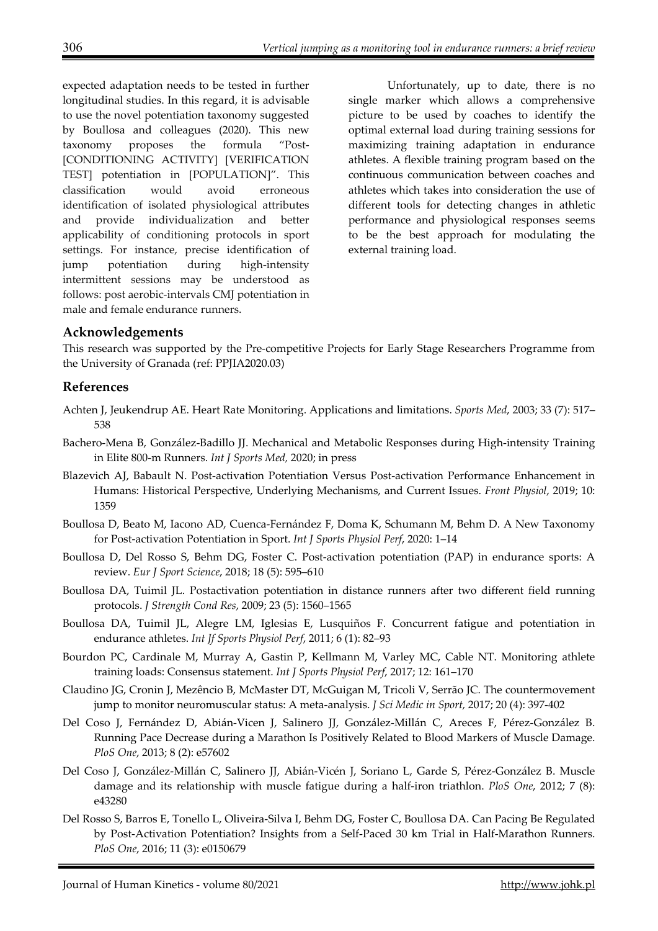expected adaptation needs to be tested in further longitudinal studies. In this regard, it is advisable to use the novel potentiation taxonomy suggested by Boullosa and colleagues (2020). This new taxonomy proposes the formula "Post- [CONDITIONING ACTIVITY] [VERIFICATION TEST] potentiation in [POPULATION]". This classification would avoid erroneous identification of isolated physiological attributes and provide individualization and better applicability of conditioning protocols in sport settings. For instance, precise identification of jump potentiation during high-intensity intermittent sessions may be understood as follows: post aerobic-intervals CMJ potentiation in male and female endurance runners.

Unfortunately, up to date, there is no single marker which allows a comprehensive picture to be used by coaches to identify the optimal external load during training sessions for maximizing training adaptation in endurance athletes. A flexible training program based on the continuous communication between coaches and athletes which takes into consideration the use of different tools for detecting changes in athletic performance and physiological responses seems to be the best approach for modulating the external training load.

# **Acknowledgements**

This research was supported by the Pre-competitive Projects for Early Stage Researchers Programme from the University of Granada (ref: PPJIA2020.03)

# **References**

- Achten J, Jeukendrup AE. Heart Rate Monitoring. Applications and limitations. *Sports Med*, 2003; 33 (7): 517– 538
- Bachero-Mena B, González-Badillo JJ. Mechanical and Metabolic Responses during High-intensity Training in Elite 800-m Runners. *Int J Sports Med,* 2020; in press
- Blazevich AJ, Babault N. Post-activation Potentiation Versus Post-activation Performance Enhancement in Humans: Historical Perspective, Underlying Mechanisms, and Current Issues. *Front Physiol*, 2019; 10: 1359
- Boullosa D, Beato M, Iacono AD, Cuenca-Fernández F, Doma K, Schumann M, Behm D. A New Taxonomy for Post-activation Potentiation in Sport. *Int J Sports Physiol Perf*, 2020: 1–14
- Boullosa D, Del Rosso S, Behm DG, Foster C. Post-activation potentiation (PAP) in endurance sports: A review. *Eur J Sport Science*, 2018; 18 (5): 595–610
- Boullosa DA, Tuimil JL. Postactivation potentiation in distance runners after two different field running protocols. *J Strength Cond Res*, 2009; 23 (5): 1560–1565
- Boullosa DA, Tuimil JL, Alegre LM, Iglesias E, Lusquiños F. Concurrent fatigue and potentiation in endurance athletes. *Int Jf Sports Physiol Perf*, 2011; 6 (1): 82–93
- Bourdon PC, Cardinale M, Murray A, Gastin P, Kellmann M, Varley MC, Cable NT. Monitoring athlete training loads: Consensus statement. *Int J Sports Physiol Perf*, 2017; 12: 161–170
- Claudino JG, Cronin J, Mezêncio B, McMaster DT, McGuigan M, Tricoli V, Serrão JC. The countermovement jump to monitor neuromuscular status: A meta-analysis. *J Sci Medic in Sport,* 2017; 20 (4): 397-402
- Del Coso J, Fernández D, Abián-Vicen J, Salinero JJ, González-Millán C, Areces F, Pérez-González B. Running Pace Decrease during a Marathon Is Positively Related to Blood Markers of Muscle Damage. *PloS One*, 2013; 8 (2): e57602
- Del Coso J, González-Millán C, Salinero JJ, Abián-Vicén J, Soriano L, Garde S, Pérez-González B. Muscle damage and its relationship with muscle fatigue during a half-iron triathlon. *PloS One*, 2012; 7 (8): e43280
- Del Rosso S, Barros E, Tonello L, Oliveira-Silva I, Behm DG, Foster C, Boullosa DA. Can Pacing Be Regulated by Post-Activation Potentiation? Insights from a Self-Paced 30 km Trial in Half-Marathon Runners. *PloS One*, 2016; 11 (3): e0150679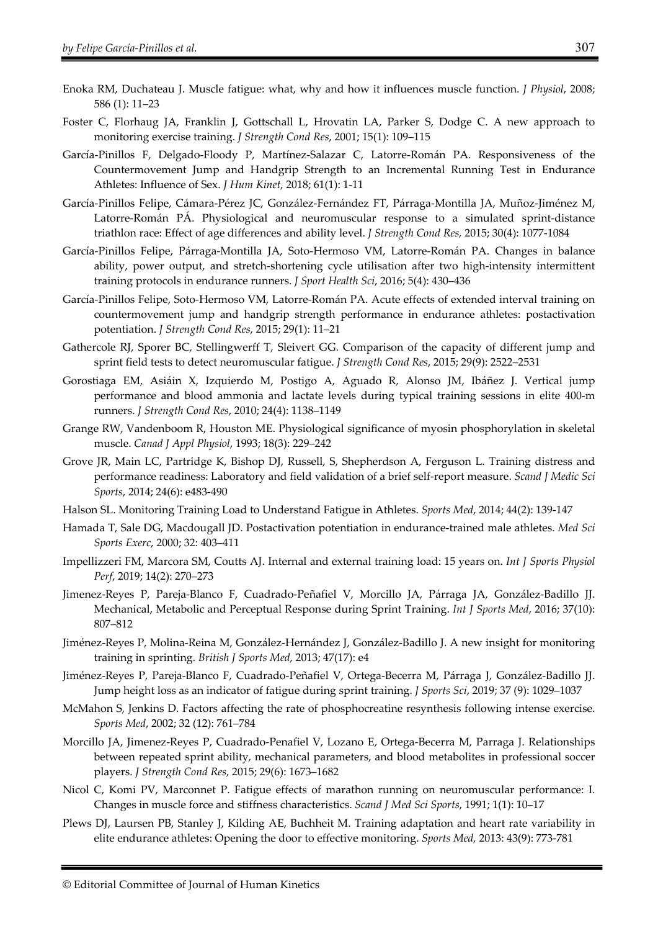- Enoka RM, Duchateau J. Muscle fatigue: what, why and how it influences muscle function. *J Physiol*, 2008; 586 (1): 11–23
- Foster C, Florhaug JA, Franklin J, Gottschall L, Hrovatin LA, Parker S, Dodge C. A new approach to monitoring exercise training. *J Strength Cond Res*, 2001; 15(1): 109–115
- García-Pinillos F, Delgado-Floody P, Martínez-Salazar C, Latorre-Román PA. Responsiveness of the Countermovement Jump and Handgrip Strength to an Incremental Running Test in Endurance Athletes: Influence of Sex. *J Hum Kinet*, 2018; 61(1): 1-11
- García-Pinillos Felipe, Cámara-Pérez JC, González-Fernández FT, Párraga-Montilla JA, Muñoz-Jiménez M, Latorre-Román PÁ. Physiological and neuromuscular response to a simulated sprint-distance triathlon race: Effect of age differences and ability level. *J Strength Cond Res,* 2015; 30(4): 1077-1084
- García-Pinillos Felipe, Párraga-Montilla JA, Soto-Hermoso VM, Latorre-Román PA. Changes in balance ability, power output, and stretch-shortening cycle utilisation after two high-intensity intermittent training protocols in endurance runners. *J Sport Health Sci*, 2016; 5(4): 430–436
- García-Pinillos Felipe, Soto-Hermoso VM, Latorre-Román PA. Acute effects of extended interval training on countermovement jump and handgrip strength performance in endurance athletes: postactivation potentiation. *J Strength Cond Res*, 2015; 29(1): 11–21
- Gathercole RJ, Sporer BC, Stellingwerff T, Sleivert GG. Comparison of the capacity of different jump and sprint field tests to detect neuromuscular fatigue. *J Strength Cond Res*, 2015; 29(9): 2522–2531
- Gorostiaga EM, Asiáin X, Izquierdo M, Postigo A, Aguado R, Alonso JM, Ibáñez J. Vertical jump performance and blood ammonia and lactate levels during typical training sessions in elite 400-m runners. *J Strength Cond Res*, 2010; 24(4): 1138–1149
- Grange RW, Vandenboom R, Houston ME. Physiological significance of myosin phosphorylation in skeletal muscle. *Canad J Appl Physiol*, 1993; 18(3): 229–242
- Grove JR, Main LC, Partridge K, Bishop DJ, Russell, S, Shepherdson A, Ferguson L. Training distress and performance readiness: Laboratory and field validation of a brief self-report measure. *Scand J Medic Sci Sports*, 2014; 24(6): e483-490
- Halson SL. Monitoring Training Load to Understand Fatigue in Athletes. *Sports Med*, 2014; 44(2): 139-147
- Hamada T, Sale DG, Macdougall JD. Postactivation potentiation in endurance-trained male athletes. *Med Sci Sports Exerc*, 2000; 32: 403–411
- Impellizzeri FM, Marcora SM, Coutts AJ. Internal and external training load: 15 years on. *Int J Sports Physiol Perf*, 2019; 14(2): 270–273
- Jimenez-Reyes P, Pareja-Blanco F, Cuadrado-Peñafiel V, Morcillo JA, Párraga JA, González-Badillo JJ. Mechanical, Metabolic and Perceptual Response during Sprint Training. *Int J Sports Med*, 2016; 37(10): 807–812
- Jiménez-Reyes P, Molina-Reina M, González-Hernández J, González-Badillo J. A new insight for monitoring training in sprinting. *British J Sports Med*, 2013; 47(17): e4
- Jiménez-Reyes P, Pareja-Blanco F, Cuadrado-Peñafiel V, Ortega-Becerra M, Párraga J, González-Badillo JJ. Jump height loss as an indicator of fatigue during sprint training. *J Sports Sci*, 2019; 37 (9): 1029–1037
- McMahon S, Jenkins D. Factors affecting the rate of phosphocreatine resynthesis following intense exercise. *Sports Med*, 2002; 32 (12): 761–784
- Morcillo JA, Jimenez-Reyes P, Cuadrado-Penafiel V, Lozano E, Ortega-Becerra M, Parraga J. Relationships between repeated sprint ability, mechanical parameters, and blood metabolites in professional soccer players. *J Strength Cond Res*, 2015; 29(6): 1673–1682
- Nicol C, Komi PV, Marconnet P. Fatigue effects of marathon running on neuromuscular performance: I. Changes in muscle force and stiffness characteristics. *Scand J Med Sci Sports*, 1991; 1(1): 10–17
- Plews DJ, Laursen PB, Stanley J, Kilding AE, Buchheit M. Training adaptation and heart rate variability in elite endurance athletes: Opening the door to effective monitoring. *Sports Med,* 2013: 43(9): 773-781